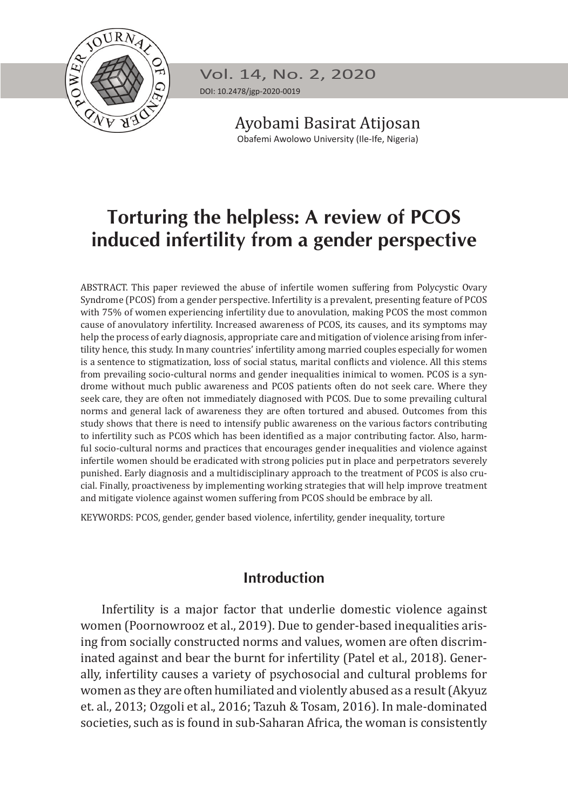

Vol. 14, No. 2, 2020 DOI: 10.2478/jgp-2020-0019

> Ayobami Basirat Atijosan Obafemi Awolowo University (Ile-Ife, Nigeria)

# **Torturing the helpless: A review of PCOS induced infertility from a gender perspective**

ABSTRACT. This paper reviewed the abuse of infertile women suffering from Polycystic Ovary Syndrome (PCOS) from a gender perspective. Infertility is a prevalent, presenting feature of PCOS with 75% of women experiencing infertility due to anovulation, making PCOS the most common cause of anovulatory infertility. Increased awareness of PCOS, its causes, and its symptoms may help the process of early diagnosis, appropriate care and mitigation of violence arising from infertility hence, this study. In many countries' infertility among married couples especially for women is a sentence to stigmatization, loss of social status, marital conflicts and violence. All this stems from prevailing socio-cultural norms and gender inequalities inimical to women. PCOS is a syndrome without much public awareness and PCOS patients often do not seek care. Where they seek care, they are often not immediately diagnosed with PCOS. Due to some prevailing cultural norms and general lack of awareness they are often tortured and abused. Outcomes from this study shows that there is need to intensify public awareness on the various factors contributing to infertility such as PCOS which has been identified as a major contributing factor. Also, harmful socio-cultural norms and practices that encourages gender inequalities and violence against infertile women should be eradicated with strong policies put in place and perpetrators severely punished. Early diagnosis and a multidisciplinary approach to the treatment of PCOS is also crucial. Finally, proactiveness by implementing working strategies that will help improve treatment and mitigate violence against women suffering from PCOS should be embrace by all.

KEYWORDS: PCOS, gender, gender based violence, infertility, gender inequality, torture

# **Introduction**

Infertility is a major factor that underlie domestic violence against women (Poornowrooz et al., 2019). Due to gender-based inequalities arising from socially constructed norms and values, women are often discriminated against and bear the burnt for infertility (Patel et al., 2018). Generally, infertility causes a variety of psychosocial and cultural problems for women as they are often humiliated and violently abused as a result (Akyuz et. al., 2013; Ozgoli et al., 2016; Tazuh & Tosam, 2016). In male-dominated societies, such as is found in sub-Saharan Africa, the woman is consistently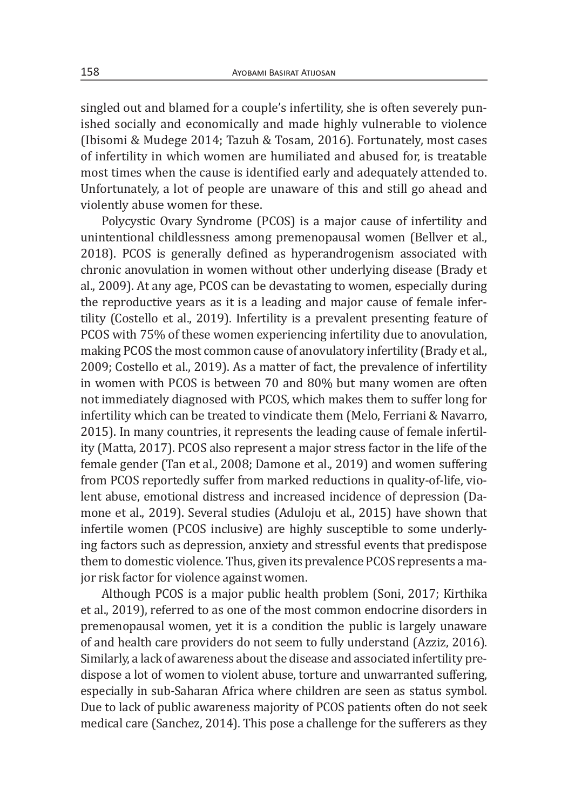singled out and blamed for a couple's infertility, she is often severely punished socially and economically and made highly vulnerable to violence (Ibisomi & Mudege 2014; Tazuh & Tosam, 2016). Fortunately, most cases of infertility in which women are humiliated and abused for, is treatable most times when the cause is identified early and adequately attended to. Unfortunately, a lot of people are unaware of this and still go ahead and violently abuse women for these.

Polycystic Ovary Syndrome (PCOS) is a major cause of infertility and unintentional childlessness among premenopausal women (Bellver et al., 2018). PCOS is generally defined as hyperandrogenism associated with chronic anovulation in women without other underlying disease (Brady et al., 2009). At any age, PCOS can be devastating to women, especially during the reproductive years as it is a leading and major cause of female infertility (Costello et al., 2019). Infertility is a prevalent presenting feature of PCOS with 75% of these women experiencing infertility due to anovulation, making PCOS the most common cause of anovulatory infertility (Brady et al., 2009; Costello et al., 2019). As a matter of fact, the prevalence of infertility in women with PCOS is between 70 and 80% but many women are often not immediately diagnosed with PCOS, which makes them to suffer long for infertility which can be treated to vindicate them (Melo, Ferriani & Navarro, 2015). In many countries, it represents the leading cause of female infertility (Matta, 2017). PCOS also represent a major stress factor in the life of the female gender (Tan et al., 2008; Damone et al., 2019) and women suffering from PCOS reportedly suffer from marked reductions in quality-of-life, violent abuse, emotional distress and increased incidence of depression (Damone et al., 2019). Several studies (Aduloju et al., 2015) have shown that infertile women (PCOS inclusive) are highly susceptible to some underlying factors such as depression, anxiety and stressful events that predispose them to domestic violence. Thus, given its prevalence PCOS represents a major risk factor for violence against women.

Although PCOS is a major public health problem (Soni, 2017; Kirthika et al., 2019), referred to as one of the most common endocrine disorders in premenopausal women, yet it is a condition the public is largely unaware of and health care providers do not seem to fully understand (Azziz, 2016). Similarly, a lack of awareness about the disease and associated infertility predispose a lot of women to violent abuse, torture and unwarranted suffering, especially in sub-Saharan Africa where children are seen as status symbol. Due to lack of public awareness majority of PCOS patients often do not seek medical care (Sanchez, 2014). This pose a challenge for the sufferers as they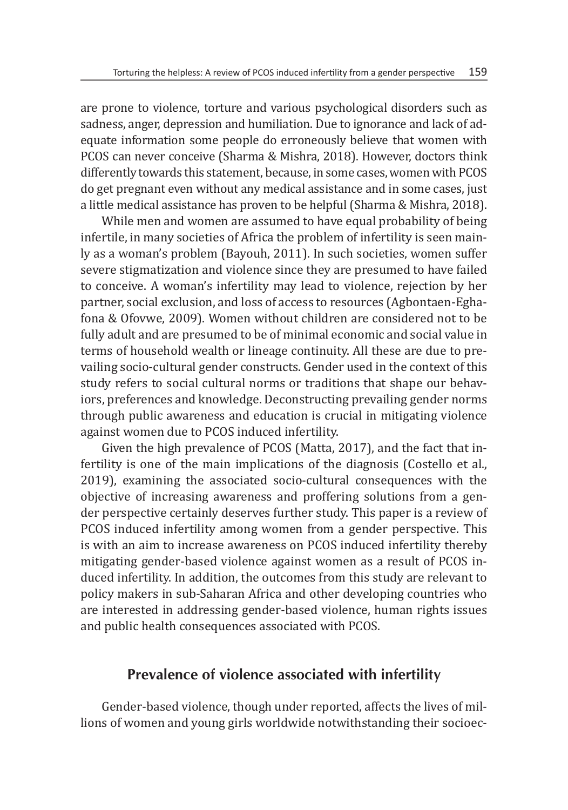are prone to violence, torture and various psychological disorders such as sadness, anger, depression and humiliation. Due to ignorance and lack of adequate information some people do erroneously believe that women with PCOS can never conceive (Sharma & Mishra, 2018). However, doctors think differently towards this statement, because, in some cases, women with PCOS do get pregnant even without any medical assistance and in some cases, just a little medical assistance has proven to be helpful (Sharma & Mishra, 2018).

While men and women are assumed to have equal probability of being infertile, in many societies of Africa the problem of infertility is seen mainly as a woman's problem (Bayouh, 2011). In such societies, women suffer severe stigmatization and violence since they are presumed to have failed to conceive. A woman's infertility may lead to violence, rejection by her partner, social exclusion, and loss of access to resources (Agbontaen-Eghafona & Ofovwe, 2009). Women without children are considered not to be fully adult and are presumed to be of minimal economic and social value in terms of household wealth or lineage continuity. All these are due to prevailing socio-cultural gender constructs. Gender used in the context of this study refers to social cultural norms or traditions that shape our behaviors, preferences and knowledge. Deconstructing prevailing gender norms through public awareness and education is crucial in mitigating violence against women due to PCOS induced infertility.

Given the high prevalence of PCOS (Matta, 2017), and the fact that infertility is one of the main implications of the diagnosis (Costello et al., 2019), examining the associated socio-cultural consequences with the objective of increasing awareness and proffering solutions from a gender perspective certainly deserves further study. This paper is a review of PCOS induced infertility among women from a gender perspective. This is with an aim to increase awareness on PCOS induced infertility thereby mitigating gender-based violence against women as a result of PCOS induced infertility. In addition, the outcomes from this study are relevant to policy makers in sub-Saharan Africa and other developing countries who are interested in addressing gender-based violence, human rights issues and public health consequences associated with PCOS.

# **Prevalence of violence associated with infertility**

Gender-based violence, though under reported, affects the lives of millions of women and young girls worldwide notwithstanding their socioec-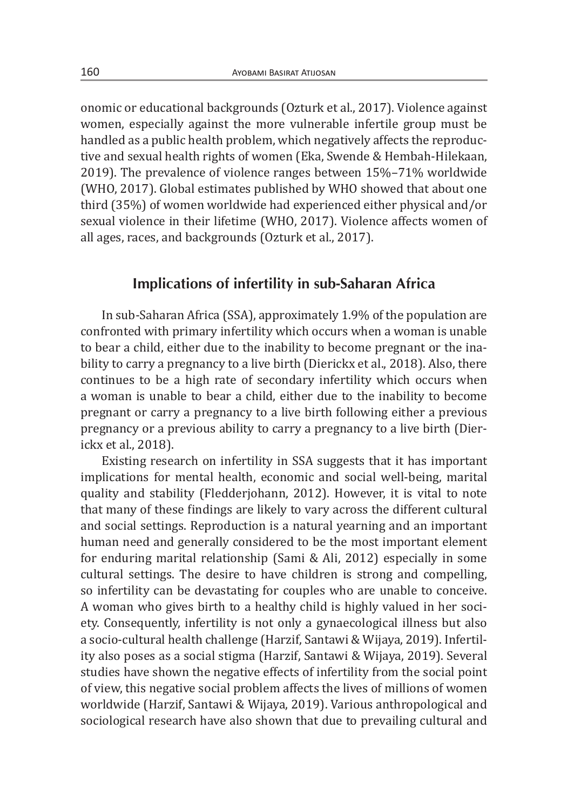onomic or educational backgrounds (Ozturk et al., 2017). Violence against women, especially against the more vulnerable infertile group must be handled as a public health problem, which negatively affects the reproductive and sexual health rights of women (Eka, Swende & Hembah-Hilekaan, 2019). The prevalence of violence ranges between 15%–71% worldwide (WHO, 2017). Global estimates published by WHO showed that about one third (35%) of women worldwide had experienced either physical and/or sexual violence in their lifetime (WHO, 2017). Violence affects women of all ages, races, and backgrounds (Ozturk et al., 2017).

### **Implications of infertility in sub-Saharan Africa**

In sub-Saharan Africa (SSA), approximately 1.9% of the population are confronted with primary infertility which occurs when a woman is unable to bear a child, either due to the inability to become pregnant or the inability to carry a pregnancy to a live birth (Dierickx et al., 2018). Also, there continues to be a high rate of secondary infertility which occurs when a woman is unable to bear a child, either due to the inability to become pregnant or carry a pregnancy to a live birth following either a previous pregnancy or a previous ability to carry a pregnancy to a live birth (Dierickx et al., 2018).

Existing research on infertility in SSA suggests that it has important implications for mental health, economic and social well-being, marital quality and stability (Fledderjohann, 2012). However, it is vital to note that many of these findings are likely to vary across the different cultural and social settings. Reproduction is a natural yearning and an important human need and generally considered to be the most important element for enduring marital relationship (Sami & Ali, 2012) especially in some cultural settings. The desire to have children is strong and compelling, so infertility can be devastating for couples who are unable to conceive. A woman who gives birth to a healthy child is highly valued in her society. Consequently, infertility is not only a gynaecological illness but also a socio-cultural health challenge (Harzif, Santawi & Wijaya, 2019). Infertility also poses as a social stigma (Harzif, Santawi & Wijaya, 2019). Several studies have shown the negative effects of infertility from the social point of view, this negative social problem affects the lives of millions of women worldwide (Harzif, Santawi & Wijaya, 2019). Various anthropological and sociological research have also shown that due to prevailing cultural and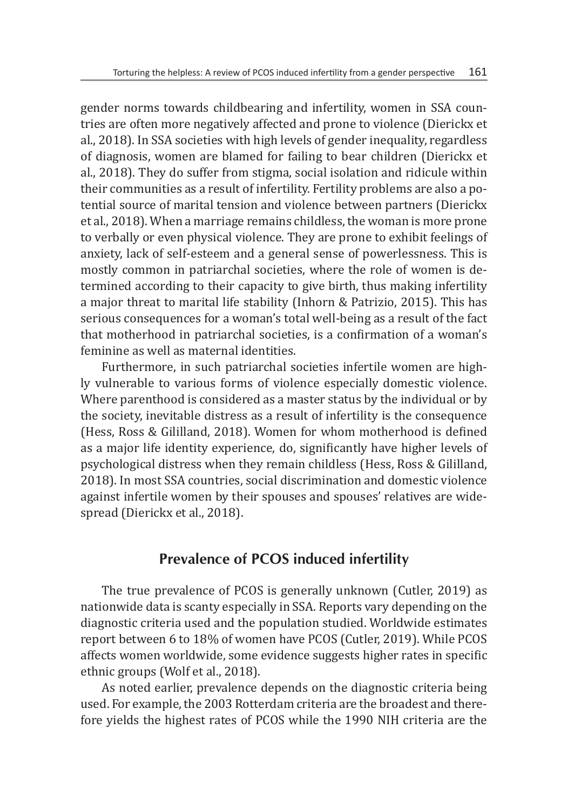gender norms towards childbearing and infertility, women in SSA countries are often more negatively affected and prone to violence (Dierickx et al., 2018). In SSA societies with high levels of gender inequality, regardless of diagnosis, women are blamed for failing to bear children (Dierickx et al., 2018). They do suffer from stigma, social isolation and ridicule within their communities as a result of infertility. Fertility problems are also a potential source of marital tension and violence between partners (Dierickx et al., 2018). When a marriage remains childless, the woman is more prone to verbally or even physical violence. They are prone to exhibit feelings of anxiety, lack of self-esteem and a general sense of powerlessness. This is mostly common in patriarchal societies, where the role of women is determined according to their capacity to give birth, thus making infertility a major threat to marital life stability (Inhorn & Patrizio, 2015). This has serious consequences for a woman's total well-being as a result of the fact that motherhood in patriarchal societies, is a confirmation of a woman's feminine as well as maternal identities.

Furthermore, in such patriarchal societies infertile women are highly vulnerable to various forms of violence especially domestic violence. Where parenthood is considered as a master status by the individual or by the society, inevitable distress as a result of infertility is the consequence (Hess, Ross & Gililland, 2018). Women for whom motherhood is defined as a major life identity experience, do, significantly have higher levels of psychological distress when they remain childless (Hess, Ross & Gililland, 2018). In most SSA countries, social discrimination and domestic violence against infertile women by their spouses and spouses' relatives are widespread (Dierickx et al., 2018).

### **Prevalence of PCOS induced infertility**

The true prevalence of PCOS is generally unknown (Cutler, 2019) as nationwide data is scanty especially in SSA. Reports vary depending on the diagnostic criteria used and the population studied. Worldwide estimates report between 6 to 18% of women have PCOS (Cutler, 2019). While PCOS affects women worldwide, some evidence suggests higher rates in specific ethnic groups (Wolf et al., 2018).

As noted earlier, prevalence depends on the diagnostic criteria being used. For example, the 2003 Rotterdam criteria are the broadest and therefore yields the highest rates of PCOS while the 1990 NIH criteria are the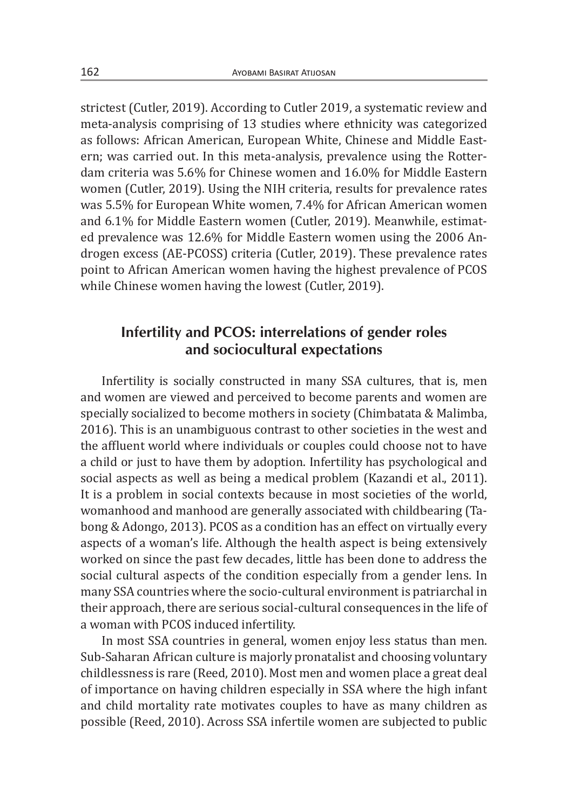strictest (Cutler, 2019). According to Cutler 2019, a systematic review and meta-analysis comprising of 13 studies where ethnicity was categorized as follows: African American, European White, Chinese and Middle Eastern; was carried out. In this meta-analysis, prevalence using the Rotterdam criteria was 5.6% for Chinese women and 16.0% for Middle Eastern women (Cutler, 2019). Using the NIH criteria, results for prevalence rates was 5.5% for European White women, 7.4% for African American women and 6.1% for Middle Eastern women (Cutler, 2019). Meanwhile, estimated prevalence was 12.6% for Middle Eastern women using the 2006 Androgen excess (AE-PCOSS) criteria (Cutler, 2019). These prevalence rates point to African American women having the highest prevalence of PCOS while Chinese women having the lowest (Cutler, 2019).

### **Infertility and PCOS: interrelations of gender roles and sociocultural expectations**

Infertility is socially constructed in many SSA cultures, that is, men and women are viewed and perceived to become parents and women are specially socialized to become mothers in society (Chimbatata & Malimba, 2016). This is an unambiguous contrast to other societies in the west and the affluent world where individuals or couples could choose not to have a child or just to have them by adoption. Infertility has psychological and social aspects as well as being a medical problem (Kazandi et al., 2011). It is a problem in social contexts because in most societies of the world, womanhood and manhood are generally associated with childbearing (Tabong & Adongo, 2013). PCOS as a condition has an effect on virtually every aspects of a woman's life. Although the health aspect is being extensively worked on since the past few decades, little has been done to address the social cultural aspects of the condition especially from a gender lens. In many SSA countries where the socio-cultural environment is patriarchal in their approach, there are serious social-cultural consequences in the life of a woman with PCOS induced infertility.

In most SSA countries in general, women enjoy less status than men. Sub-Saharan African culture is majorly pronatalist and choosing voluntary childlessness is rare (Reed, 2010). Most men and women place a great deal of importance on having children especially in SSA where the high infant and child mortality rate motivates couples to have as many children as possible (Reed, 2010). Across SSA infertile women are subjected to public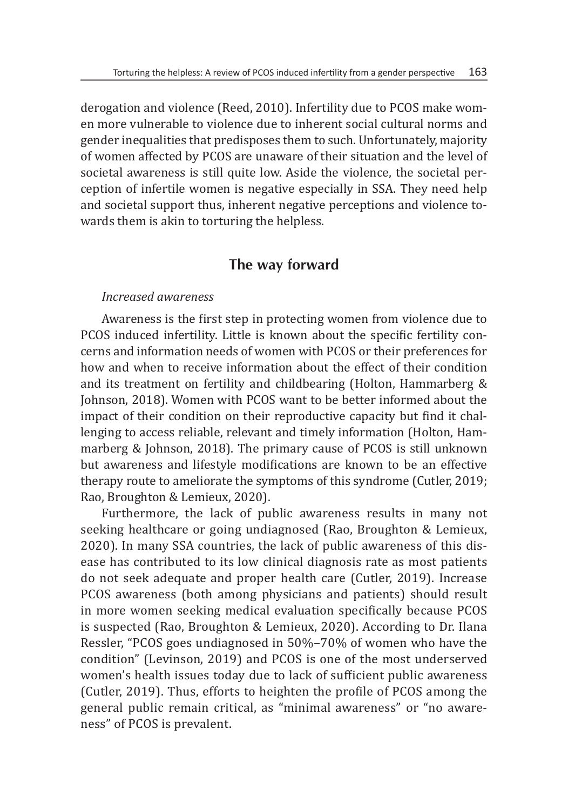derogation and violence (Reed, 2010). Infertility due to PCOS make women more vulnerable to violence due to inherent social cultural norms and gender inequalities that predisposes them to such. Unfortunately, majority of women affected by PCOS are unaware of their situation and the level of societal awareness is still quite low. Aside the violence, the societal perception of infertile women is negative especially in SSA. They need help and societal support thus, inherent negative perceptions and violence towards them is akin to torturing the helpless.

# **The way forward**

#### *Increased awareness*

Awareness is the first step in protecting women from violence due to PCOS induced infertility. Little is known about the specific fertility concerns and information needs of women with PCOS or their preferences for how and when to receive information about the effect of their condition and its treatment on fertility and childbearing (Holton, Hammarberg & Johnson, 2018). Women with PCOS want to be better informed about the impact of their condition on their reproductive capacity but find it challenging to access reliable, relevant and timely information (Holton, Hammarberg & Johnson, 2018). The primary cause of PCOS is still unknown but awareness and lifestyle modifications are known to be an effective therapy route to ameliorate the symptoms of this syndrome (Cutler, 2019; Rao, Broughton & Lemieux, 2020).

Furthermore, the lack of public awareness results in many not seeking healthcare or going undiagnosed (Rao, Broughton & Lemieux, 2020). In many SSA countries, the lack of public awareness of this disease has contributed to its low clinical diagnosis rate as most patients do not seek adequate and proper health care (Cutler, 2019). Increase PCOS awareness (both among physicians and patients) should result in more women seeking medical evaluation specifically because PCOS is suspected (Rao, Broughton & Lemieux, 2020). According to Dr. Ilana Ressler, "PCOS goes undiagnosed in 50%–70% of women who have the condition" (Levinson, 2019) and PCOS is one of the most underserved women's health issues today due to lack of sufficient public awareness (Cutler, 2019). Thus, efforts to heighten the profile of PCOS among the general public remain critical, as "minimal awareness" or "no awareness" of PCOS is prevalent.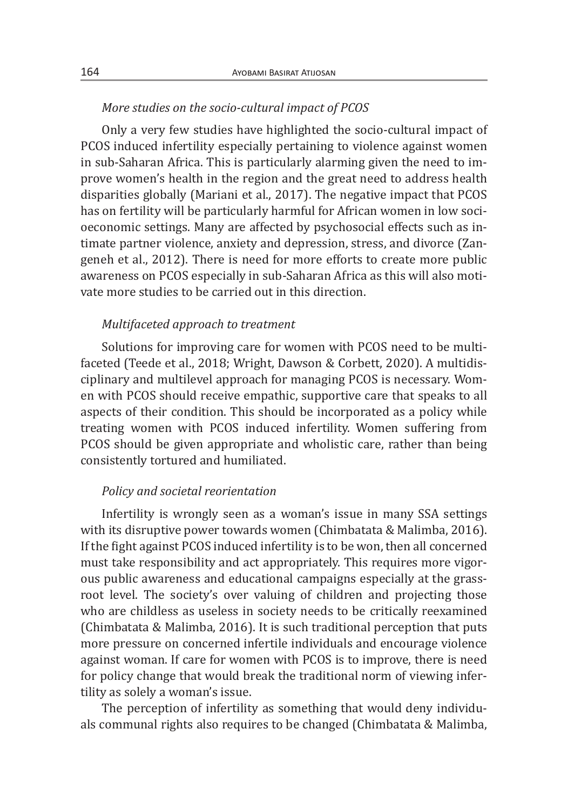#### *More studies on the socio-cultural impact of PCOS*

Only a very few studies have highlighted the socio-cultural impact of PCOS induced infertility especially pertaining to violence against women in sub-Saharan Africa. This is particularly alarming given the need to improve women's health in the region and the great need to address health disparities globally (Mariani et al., 2017). The negative impact that PCOS has on fertility will be particularly harmful for African women in low socioeconomic settings. Many are affected by psychosocial effects such as intimate partner violence, anxiety and depression, stress, and divorce (Zangeneh et al., 2012). There is need for more efforts to create more public awareness on PCOS especially in sub-Saharan Africa as this will also motivate more studies to be carried out in this direction.

#### *Multifaceted approach to treatment*

Solutions for improving care for women with PCOS need to be multifaceted (Teede et al., 2018; Wright, Dawson & Corbett, 2020). A multidisciplinary and multilevel approach for managing PCOS is necessary. Women with PCOS should receive empathic, supportive care that speaks to all aspects of their condition. This should be incorporated as a policy while treating women with PCOS induced infertility. Women suffering from PCOS should be given appropriate and wholistic care, rather than being consistently tortured and humiliated.

#### *Policy and societal reorientation*

Infertility is wrongly seen as a woman's issue in many SSA settings with its disruptive power towards women (Chimbatata & Malimba, 2016). If the fight against PCOS induced infertility is to be won, then all concerned must take responsibility and act appropriately. This requires more vigorous public awareness and educational campaigns especially at the grassroot level. The society's over valuing of children and projecting those who are childless as useless in society needs to be critically reexamined (Chimbatata & Malimba, 2016). It is such traditional perception that puts more pressure on concerned infertile individuals and encourage violence against woman. If care for women with PCOS is to improve, there is need for policy change that would break the traditional norm of viewing infertility as solely a woman's issue.

The perception of infertility as something that would deny individuals communal rights also requires to be changed (Chimbatata & Malimba,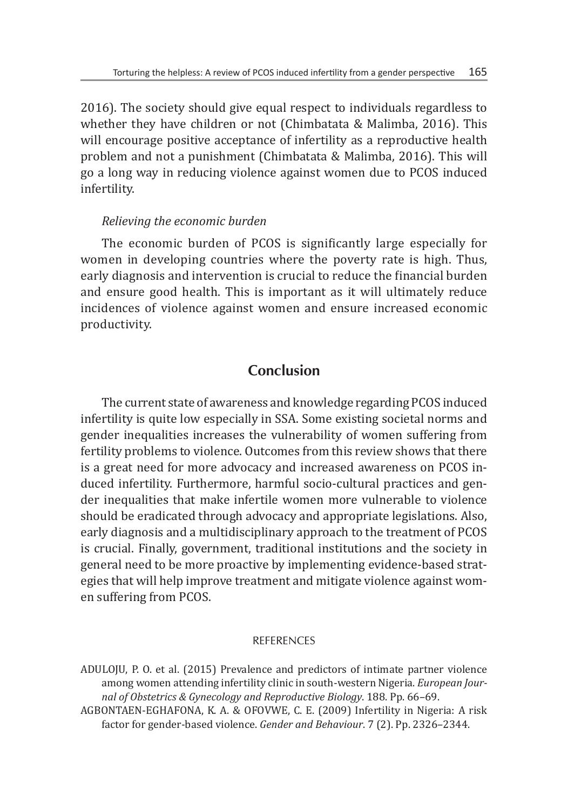2016). The society should give equal respect to individuals regardless to whether they have children or not (Chimbatata & Malimba, 2016). This will encourage positive acceptance of infertility as a reproductive health problem and not a punishment (Chimbatata & Malimba, 2016). This will go a long way in reducing violence against women due to PCOS induced infertility.

#### *Relieving the economic burden*

The economic burden of PCOS is significantly large especially for women in developing countries where the poverty rate is high. Thus, early diagnosis and intervention is crucial to reduce the financial burden and ensure good health. This is important as it will ultimately reduce incidences of violence against women and ensure increased economic productivity.

# **Conclusion**

The current state of awareness and knowledge regarding PCOS induced infertility is quite low especially in SSA. Some existing societal norms and gender inequalities increases the vulnerability of women suffering from fertility problems to violence. Outcomes from this review shows that there is a great need for more advocacy and increased awareness on PCOS induced infertility. Furthermore, harmful socio-cultural practices and gender inequalities that make infertile women more vulnerable to violence should be eradicated through advocacy and appropriate legislations. Also, early diagnosis and a multidisciplinary approach to the treatment of PCOS is crucial. Finally, government, traditional institutions and the society in general need to be more proactive by implementing evidence-based strategies that will help improve treatment and mitigate violence against women suffering from PCOS.

#### **REFERENCES**

ADULOJU, P. O. et al. (2015) Prevalence and predictors of intimate partner violence among women attending infertility clinic in south-western Nigeria. *European Journal of Obstetrics & Gynecology and Reproductive Biology*. 188. Pp. 66–69.

AGBONTAEN-EGHAFONA, K. A. & OFOVWE, C. E. (2009) Infertility in Nigeria: A risk factor for gender-based violence. *Gender and Behaviour*. 7 (2). Pp. 2326–2344.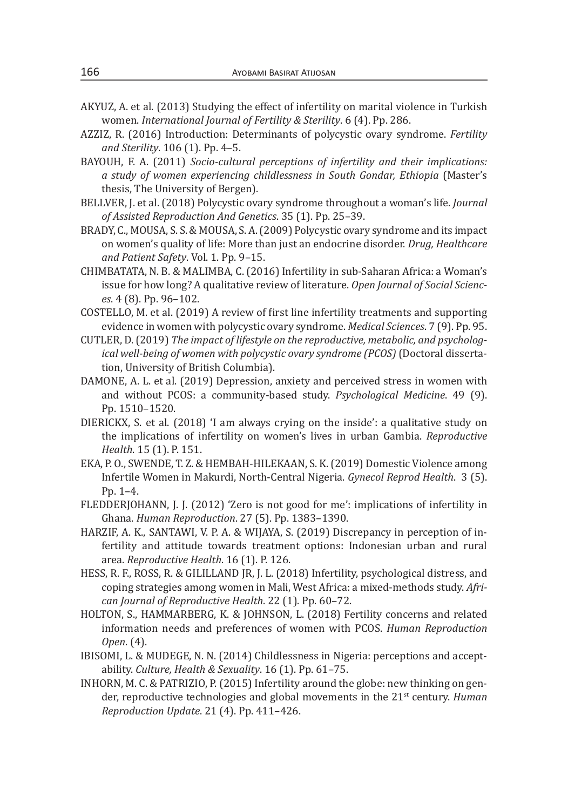- AKYUZ, A. et al. (2013) Studying the effect of infertility on marital violence in Turkish women. *International Journal of Fertility & Sterility*. 6 (4). Pp. 286.
- AZZIZ, R. (2016) Introduction: Determinants of polycystic ovary syndrome. *Fertility and Sterility*. 106 (1). Pp. 4–5.
- BAYOUH, F. A. (2011) *Socio-cultural perceptions of infertility and their implications: a study of women experiencing childlessness in South Gondar, Ethiopia* (Master's thesis, The University of Bergen).
- BELLVER, J. et al. (2018) Polycystic ovary syndrome throughout a woman's life. *Journal of Assisted Reproduction And Genetics*. 35 (1). Pp. 25–39.
- BRADY, C., MOUSA, S. S. & MOUSA, S. A. (2009) Polycystic ovary syndrome and its impact on women's quality of life: More than just an endocrine disorder. *Drug, Healthcare and Patient Safety*. Vol. 1. Pp. 9–15.
- CHIMBATATA, N. B. & MALIMBA, C. (2016) Infertility in sub-Saharan Africa: a Woman's issue for how long? A qualitative review of literature. *Open Journal of Social Sciences*. 4 (8). Pp. 96–102.
- COSTELLO, M. et al. (2019) A review of first line infertility treatments and supporting evidence in women with polycystic ovary syndrome. *Medical Sciences*. 7 (9). Pp. 95.
- CUTLER, D. (2019) *The impact of lifestyle on the reproductive, metabolic, and psychological well-being of women with polycystic ovary syndrome (PCOS)* (Doctoral dissertation, University of British Columbia).
- DAMONE, A. L. et al. (2019) Depression, anxiety and perceived stress in women with and without PCOS: a community-based study. *Psychological Medicine*. 49 (9). Pp. 1510–1520.
- DIERICKX, S. et al. (2018) 'I am always crying on the inside': a qualitative study on the implications of infertility on women's lives in urban Gambia. *Reproductive Health*. 15 (1). P. 151.
- EKA, P. O., SWENDE, T. Z. & HEMBAH-HILEKAAN, S. K. (2019) Domestic Violence among Infertile Women in Makurdi, North-Central Nigeria. *Gynecol Reprod Health*. 3 (5). Pp. 1–4.
- FLEDDERJOHANN, J. J. (2012) 'Zero is not good for me': implications of infertility in Ghana. *Human Reproduction*. 27 (5). Pp. 1383–1390.
- HARZIF, A. K., SANTAWI, V. P. A. & WIJAYA, S. (2019) Discrepancy in perception of infertility and attitude towards treatment options: Indonesian urban and rural area. *Reproductive Health*. 16 (1). P. 126.
- HESS, R. F., ROSS, R. & GILILLAND JR, J. L. (2018) Infertility, psychological distress, and coping strategies among women in Mali, West Africa: a mixed-methods study. *African Journal of Reproductive Health*. 22 (1). Pp. 60–72.
- HOLTON, S., HAMMARBERG, K. & JOHNSON, L. (2018) Fertility concerns and related information needs and preferences of women with PCOS. *Human Reproduction Open*. (4).
- IBISOMI, L. & MUDEGE, N. N. (2014) Childlessness in Nigeria: perceptions and acceptability. *Culture, Health & Sexuality*. 16 (1). Pp. 61–75.
- INHORN, M. C. & PATRIZIO, P. (2015) Infertility around the globe: new thinking on gender, reproductive technologies and global movements in the 21st century. *Human Reproduction Update*. 21 (4). Pp. 411–426.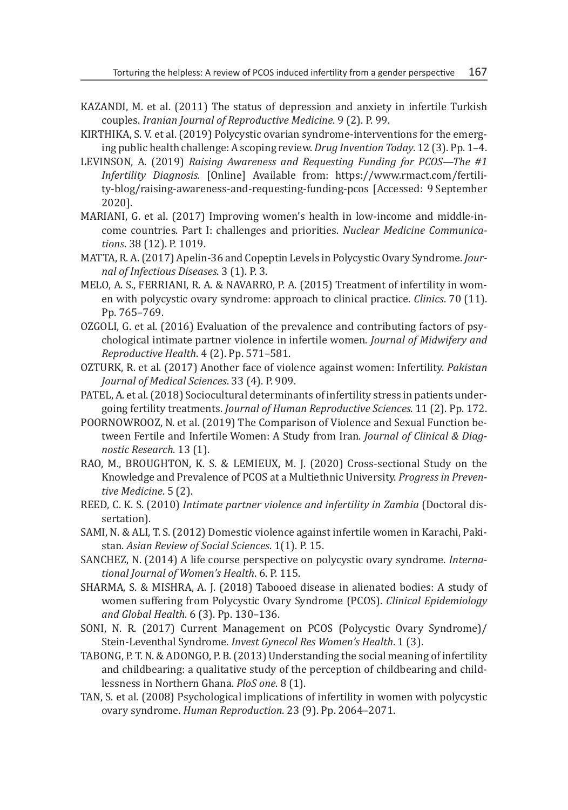- KAZANDI, M. et al. (2011) The status of depression and anxiety in infertile Turkish couples. *Iranian Journal of Reproductive Medicine*. 9 (2). P. 99.
- KIRTHIKA, S. V. et al. (2019) Polycystic ovarian syndrome-interventions for the emerging public health challenge: A scoping review. *Drug Invention Today*. 12 (3). Pp. 1–4.
- LEVINSON, A. (2019) *Raising Awareness and Requesting Funding for PCOS—The #1 Infertility Diagnosis.* [Online] Available from: https://www.rmact.com/fertility-blog/raising-awareness-and-requesting-funding-pcos [Accessed: 9 September 2020].
- MARIANI, G. et al. (2017) Improving women's health in low-income and middle-income countries. Part I: challenges and priorities. *Nuclear Medicine Communications*. 38 (12). P. 1019.
- MATTA, R. A. (2017) Apelin-36 and Copeptin Levels in Polycystic Ovary Syndrome. *Journal of Infectious Diseases*. 3 (1). P. 3.
- MELO, A. S., FERRIANI, R. A. & NAVARRO, P. A. (2015) Treatment of infertility in women with polycystic ovary syndrome: approach to clinical practice. *Clinics*. 70 (11). Pp. 765–769.
- OZGOLI, G. et al. (2016) Evaluation of the prevalence and contributing factors of psychological intimate partner violence in infertile women. *Journal of Midwifery and Reproductive Health*. 4 (2). Pp. 571–581.
- OZTURK, R. et al. (2017) Another face of violence against women: Infertility. *Pakistan Journal of Medical Sciences*. 33 (4). P. 909.
- PATEL, A. et al. (2018) Sociocultural determinants of infertility stress in patients undergoing fertility treatments. *Journal of Human Reproductive Sciences*. 11 (2). Pp. 172.
- POORNOWROOZ, N. et al. (2019) The Comparison of Violence and Sexual Function between Fertile and Infertile Women: A Study from Iran. *Journal of Clinical & Diagnostic Research*. 13 (1).
- RAO, M., BROUGHTON, K. S. & LEMIEUX, M. J. (2020) Cross-sectional Study on the Knowledge and Prevalence of PCOS at a Multiethnic University. *Progress in Preventive Medicine*. 5 (2).
- REED, C. K. S. (2010) *Intimate partner violence and infertility in Zambia* (Doctoral dissertation).
- SAMI, N. & ALI, T. S. (2012) Domestic violence against infertile women in Karachi, Pakistan. *Asian Review of Social Sciences*. 1(1). P. 15.
- SANCHEZ, N. (2014) A life course perspective on polycystic ovary syndrome. *International Journal of Women's Health*. 6. P. 115.
- SHARMA, S. & MISHRA, A. J. (2018) Tabooed disease in alienated bodies: A study of women suffering from Polycystic Ovary Syndrome (PCOS). *Clinical Epidemiology and Global Health*. 6 (3). Pp. 130–136.
- SONI, N. R. (2017) Current Management on PCOS (Polycystic Ovary Syndrome)/ Stein-Leventhal Syndrome. *Invest Gynecol Res Women's Health*. 1 (3).
- TABONG, P. T. N. & ADONGO, P. B. (2013) Understanding the social meaning of infertility and childbearing: a qualitative study of the perception of childbearing and childlessness in Northern Ghana. *PloS one*. 8 (1).
- TAN, S. et al. (2008) Psychological implications of infertility in women with polycystic ovary syndrome. *Human Reproduction*. 23 (9). Pp. 2064–2071.